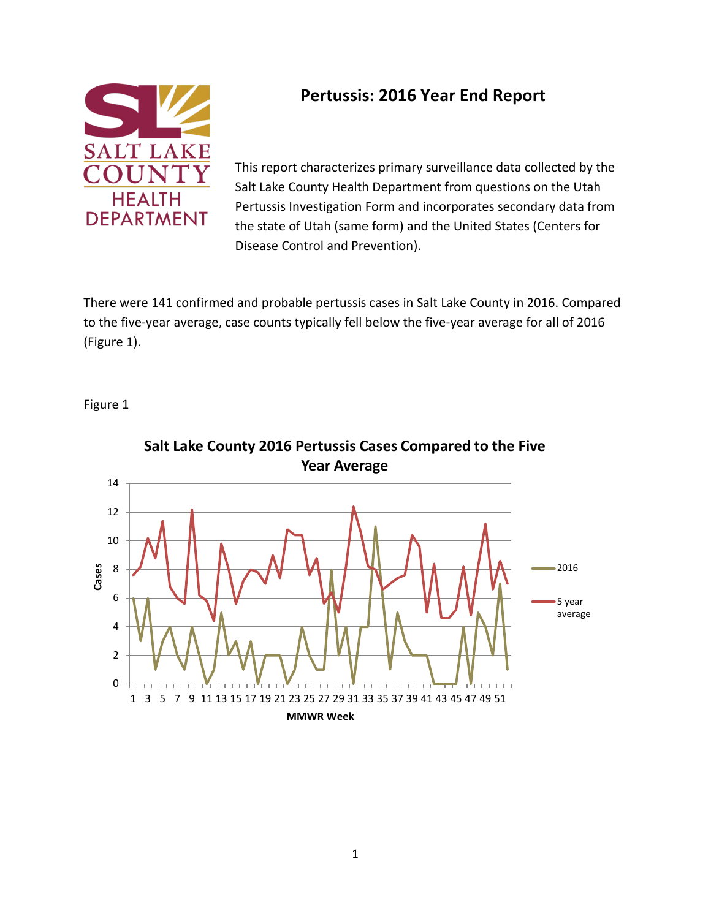

# **Pertussis: 2016 Year End Report**

This report characterizes primary surveillance data collected by the Salt Lake County Health Department from questions on the Utah Pertussis Investigation Form and incorporates secondary data from the state of Utah (same form) and the United States (Centers for Disease Control and Prevention).

There were 141 confirmed and probable pertussis cases in Salt Lake County in 2016. Compared to the five-year average, case counts typically fell below the five-year average for all of 2016 (Figure 1).

Figure 1



**Salt Lake County 2016 Pertussis Cases Compared to the Five**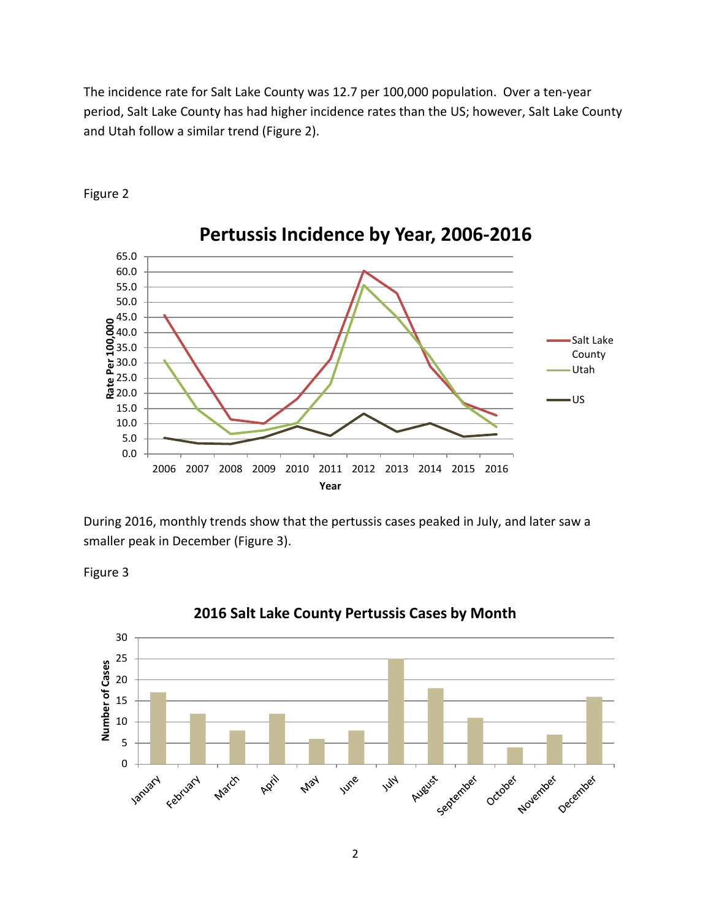The incidence rate for Salt Lake County was 12.7 per 100,000 population. Over a ten-year period, Salt Lake County has had higher incidence rates than the US; however, Salt Lake County and Utah follow a similar trend (Figure 2).



Figure 2

During 2016, monthly trends show that the pertussis cases peaked in July, and later saw a smaller peak in December (Figure 3).

Figure 3



#### **2016 Salt Lake County Pertussis Cases by Month**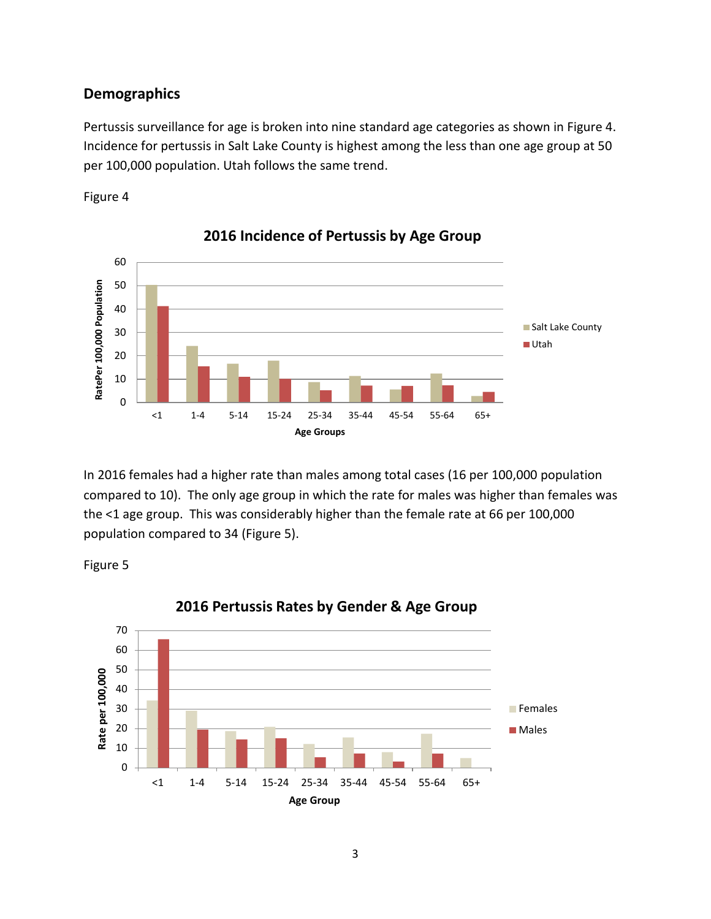#### **Demographics**

Pertussis surveillance for age is broken into nine standard age categories as shown in Figure 4. Incidence for pertussis in Salt Lake County is highest among the less than one age group at 50 per 100,000 population. Utah follows the same trend.





**2016 Incidence of Pertussis by Age Group**

In 2016 females had a higher rate than males among total cases (16 per 100,000 population compared to 10). The only age group in which the rate for males was higher than females was the <1 age group. This was considerably higher than the female rate at 66 per 100,000 population compared to 34 (Figure 5).

Figure 5



### **2016 Pertussis Rates by Gender & Age Group**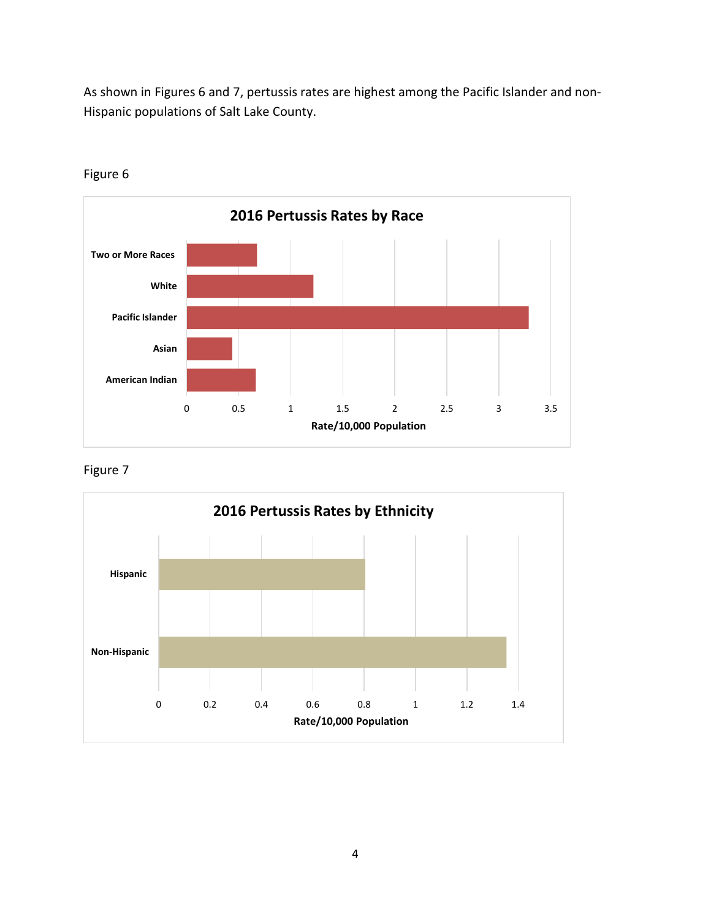As shown in Figures 6 and 7, pertussis rates are highest among the Pacific Islander and non-Hispanic populations of Salt Lake County.



Figure 6

Figure 7

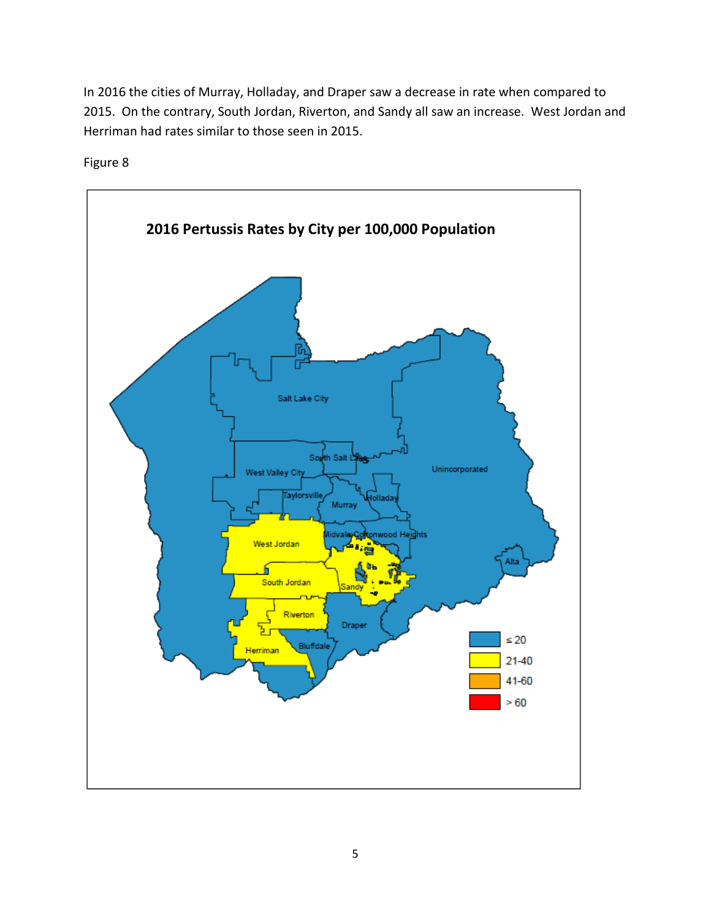In 2016 the cities of Murray, Holladay, and Draper saw a decrease in rate when compared to 2015. On the contrary, South Jordan, Riverton, and Sandy all saw an increase. West Jordan and Herriman had rates similar to those seen in 2015.



Figure 8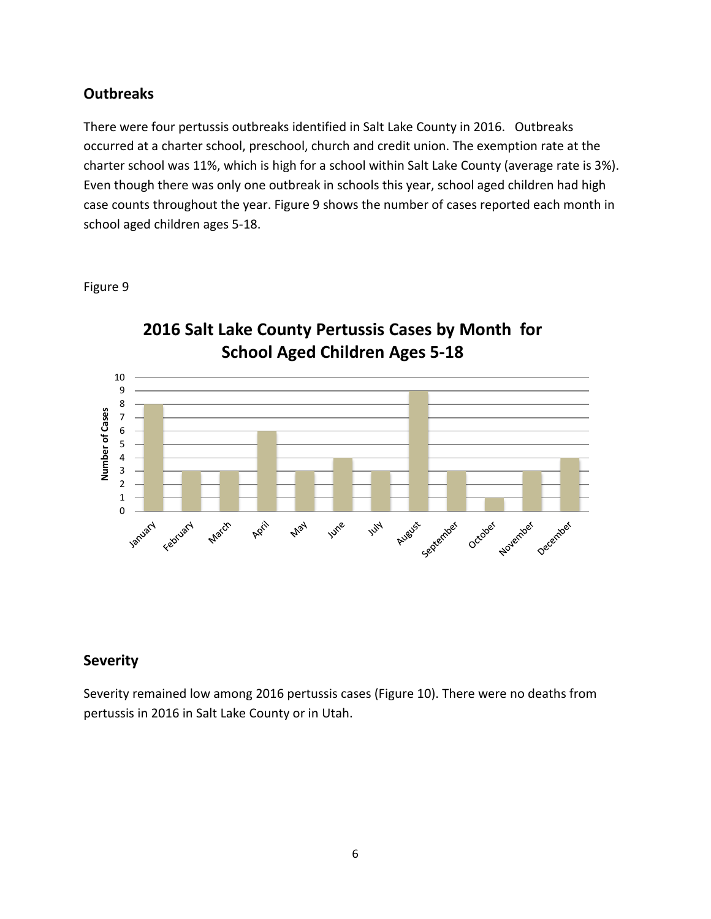### **Outbreaks**

There were four pertussis outbreaks identified in Salt Lake County in 2016. Outbreaks occurred at a charter school, preschool, church and credit union. The exemption rate at the charter school was 11%, which is high for a school within Salt Lake County (average rate is 3%). Even though there was only one outbreak in schools this year, school aged children had high case counts throughout the year. Figure 9 shows the number of cases reported each month in school aged children ages 5-18.



#### Figure 9

#### **Severity**

Severity remained low among 2016 pertussis cases (Figure 10). There were no deaths from pertussis in 2016 in Salt Lake County or in Utah.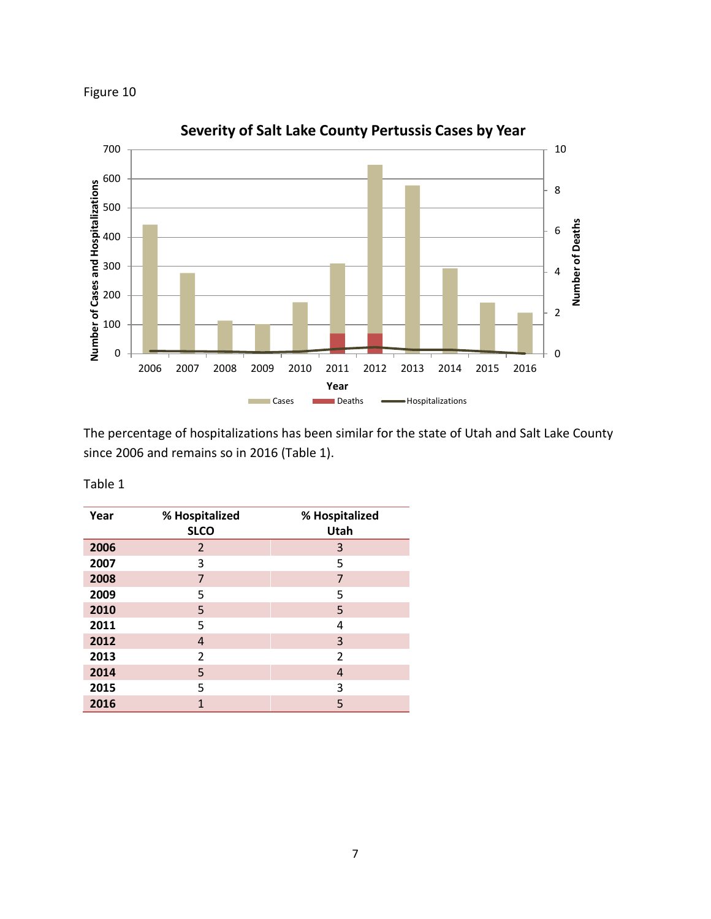



The percentage of hospitalizations has been similar for the state of Utah and Salt Lake County since 2006 and remains so in 2016 (Table 1).

| able |  |
|------|--|
|------|--|

| Year | % Hospitalized<br><b>SLCO</b> | % Hospitalized<br>Utah |
|------|-------------------------------|------------------------|
| 2006 | $\overline{2}$                | 3                      |
| 2007 | 3                             | 5                      |
| 2008 | 7                             | 7                      |
| 2009 | 5                             | 5                      |
| 2010 | 5                             | 5                      |
| 2011 | 5                             | 4                      |
| 2012 | 4                             | 3                      |
| 2013 | 2                             | 2                      |
| 2014 | 5                             | 4                      |
| 2015 | 5                             | 3                      |
| 2016 | 1                             | 5                      |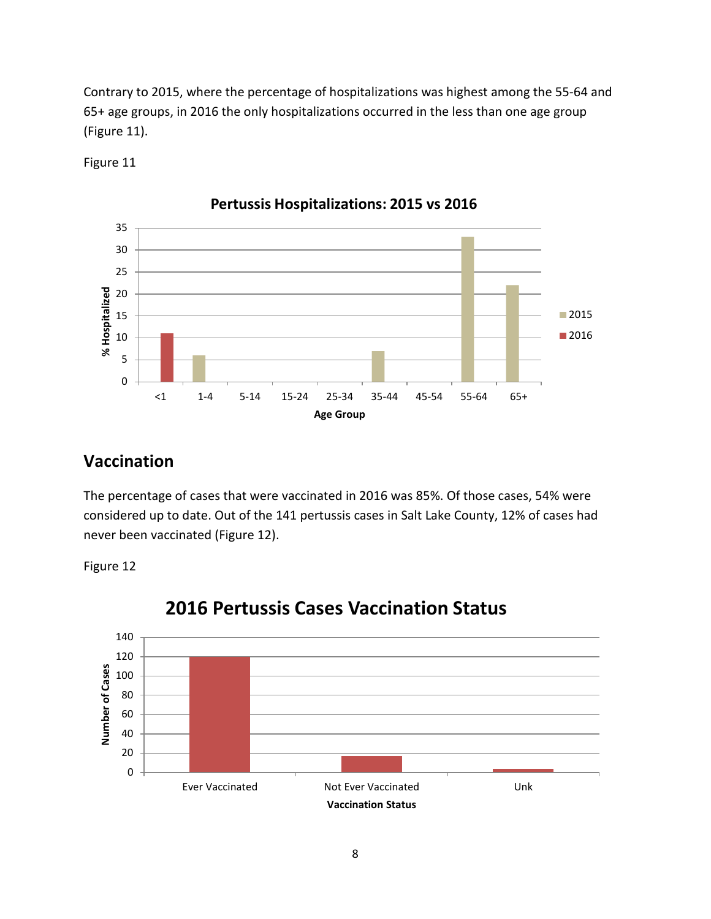Contrary to 2015, where the percentage of hospitalizations was highest among the 55-64 and 65+ age groups, in 2016 the only hospitalizations occurred in the less than one age group (Figure 11).



Figure 11

# **Vaccination**

The percentage of cases that were vaccinated in 2016 was 85%. Of those cases, 54% were considered up to date. Out of the 141 pertussis cases in Salt Lake County, 12% of cases had never been vaccinated (Figure 12).

Figure 12



# **2016 Pertussis Cases Vaccination Status**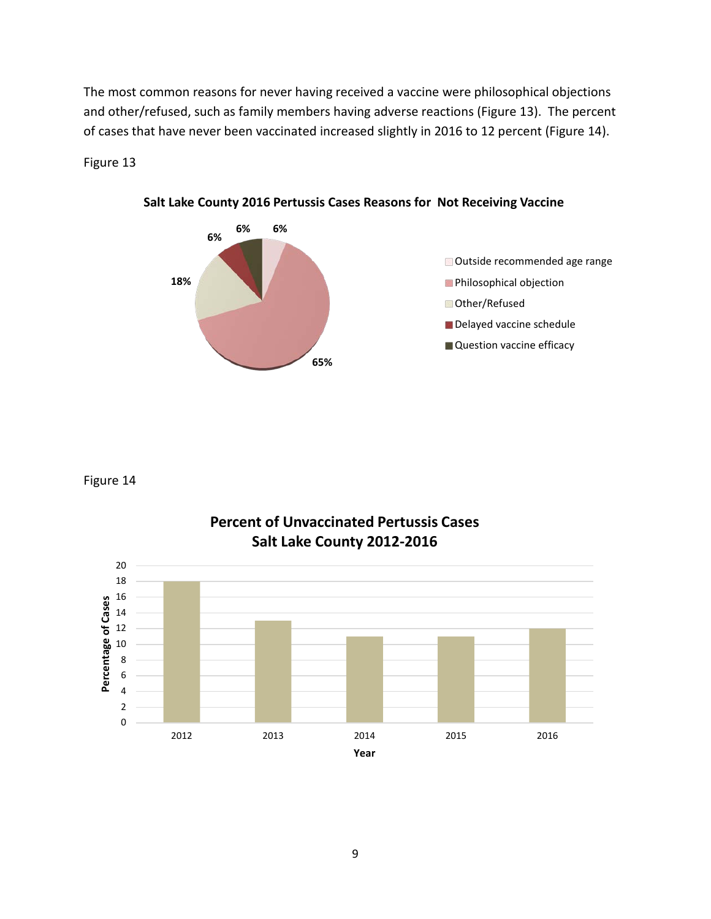The most common reasons for never having received a vaccine were philosophical objections and other/refused, such as family members having adverse reactions (Figure 13). The percent of cases that have never been vaccinated increased slightly in 2016 to 12 percent (Figure 14).

#### Figure 13



**Salt Lake County 2016 Pertussis Cases Reasons for Not Receiving Vaccine**

Figure 14